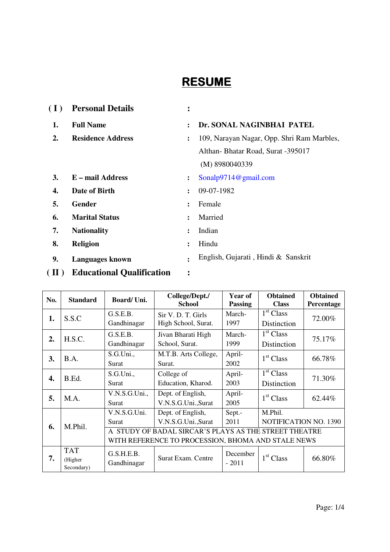# **RESUME**

| (I) | <b>Personal Details</b>  | ٠<br>$\bullet$ |                                            |
|-----|--------------------------|----------------|--------------------------------------------|
| 1.  | <b>Full Name</b>         | $\ddot{\cdot}$ | Dr. SONAL NAGINBHAI PATEL                  |
| 2.  | <b>Residence Address</b> | :              | 109, Narayan Nagar, Opp. Shri Ram Marbles, |
|     |                          |                | Althan-Bhatar Road, Surat -395017          |
|     |                          |                | (M) 8980040339                             |
| 3.  | E – mail Address         | $\ddot{\cdot}$ | Sonalp9714@gmail.com                       |
| 4.  | Date of Birth            | $\ddot{\cdot}$ | 09-07-1982                                 |
| 5.  | <b>Gender</b>            | $\ddot{\cdot}$ | Female                                     |
| 6.  | <b>Marital Status</b>    | $\ddot{\cdot}$ | Married                                    |
| 7.  | <b>Nationality</b>       | $\ddot{\cdot}$ | Indian                                     |
| 8.  | <b>Religion</b>          | $\ddot{\cdot}$ | Hindu                                      |
| 9.  | <b>Languages known</b>   | $\bullet$      | English, Gujarati, Hindi & Sanskrit        |

**( II ) Educational Qualification :** 

| No. | <b>Standard</b>       | Board/Uni.                                            | College/Dept./<br><b>School</b> | Year of<br><b>Passing</b> | <b>Obtained</b><br><b>Class</b> | <b>Obtained</b><br>Percentage |  |
|-----|-----------------------|-------------------------------------------------------|---------------------------------|---------------------------|---------------------------------|-------------------------------|--|
| 1.  | S.S.C                 | G.S.E.B.                                              | Sir V. D. T. Girls              | March-                    | $\overline{1}^{\rm st}$ Class   | 72.00%                        |  |
|     |                       | Gandhinagar                                           | High School, Surat.             | 1997                      | Distinction                     |                               |  |
| 2.  | H.S.C.                | G.S.E.B.                                              | Jivan Bharati High              | March-                    | 1 <sup>st</sup> Class           | 75.17%                        |  |
|     |                       | Gandhinagar                                           | School, Surat.                  | 1999                      | Distinction                     |                               |  |
| 3.  | B.A.                  | S.G.Uni.,                                             | M.T.B. Arts College,            | April-                    | 1 <sup>st</sup> Class           | 66.78%                        |  |
|     |                       | Surat                                                 | Surat.                          | 2002                      |                                 |                               |  |
| 4.  | B.Ed.                 | S.G.Uni.                                              | College of                      | April-                    | 1 <sup>st</sup> Class           | 71.30%                        |  |
|     |                       | Surat                                                 | Education, Kharod.              | 2003                      | Distinction                     |                               |  |
| 5.  | M.A.                  | V.N.S.G.Uni.,                                         | Dept. of English,               | April-                    | 1 <sup>st</sup> Class           | 62.44%                        |  |
|     |                       | Surat                                                 | V.N.S.G.Uni.,Surat              | 2005                      |                                 |                               |  |
|     | V.N.S.G.Uni.          |                                                       | Dept. of English,               | Sept.-                    | M.Phil.                         |                               |  |
| 6.  | M.Phil.               | Surat                                                 | V.N.S.G.Uni.,Surat              | 2011                      | NOTIFICATION NO. 1390           |                               |  |
|     |                       | A STUDY OF BADAL SIRCAR'S PLAYS AS THE STREET THEATRE |                                 |                           |                                 |                               |  |
|     |                       | WITH REFERENCE TO PROCESSION, BHOMA AND STALE NEWS    |                                 |                           |                                 |                               |  |
|     | <b>TAT</b>            | G.S.H.E.B.                                            |                                 | December                  |                                 |                               |  |
| 7.  | (Higher<br>Secondary) | Gandhinagar                                           | Surat Exam. Centre              | $-2011$                   | 1 <sup>st</sup> Class           | 66.80%                        |  |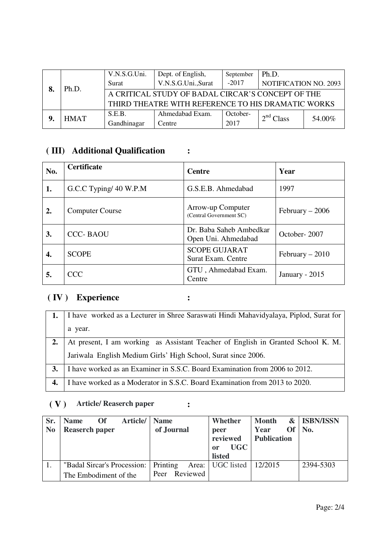| Ph.D.       | V.N.S.G.Uni.<br>Surat                                                                                   | Dept. of English,<br>V.N.S.G.Uni.,Surat | September<br>$-2017$ | Ph.D.<br><b>NOTIFICATION NO. 2093</b> |        |
|-------------|---------------------------------------------------------------------------------------------------------|-----------------------------------------|----------------------|---------------------------------------|--------|
|             | A CRITICAL STUDY OF BADAL CIRCAR'S CONCEPT OF THE<br>THIRD THEATRE WITH REFERENCE TO HIS DRAMATIC WORKS |                                         |                      |                                       |        |
| <b>HMAT</b> | S.E.B.<br>Gandhinagar                                                                                   | Ahmedabad Exam.<br>Centre               | October-<br>2017     | 2 <sup>nd</sup> Class                 | 54.00% |

## **( III) Additional Qualification :**

| No. | <b>Certificate</b>     | <b>Centre</b>                                     | Year              |
|-----|------------------------|---------------------------------------------------|-------------------|
| 1.  | G.C.C Typing/ 40 W.P.M | G.S.E.B. Ahmedabad                                | 1997              |
| 2.  | <b>Computer Course</b> | Arrow-up Computer<br>(Central Government SC)      | February $-2006$  |
| 3.  | <b>CCC-BAOU</b>        | Dr. Baba Saheb Ambedkar<br>Open Uni. Ahmedabad    | October-2007      |
| 4.  | <b>SCOPE</b>           | <b>SCOPE GUJARAT</b><br><b>Surat Exam. Centre</b> | $February - 2010$ |
| 5.  | <b>CCC</b>             | GTU, Ahmedabad Exam.<br>Centre                    | January - $2015$  |

### **( IV ) Experience :**

|    | I have worked as a Lecturer in Shree Saraswati Hindi Mahavidyalaya, Piplod, Surat for |
|----|---------------------------------------------------------------------------------------|
|    | a year.                                                                               |
|    | At present, I am working as Assistant Teacher of English in Granted School K. M.      |
|    | Jariwala English Medium Girls' High School, Surat since 2006.                         |
| 3. | I have worked as an Examiner in S.S.C. Board Examination from 2006 to 2012.           |
|    | I have worked as a Moderator in S.S.C. Board Examination from 2013 to 2020.           |

## **( V ) Article/ Reaserch paper :**

| Sr.<br>N <sub>0</sub> | Article/<br><b>Of</b><br><b>Name</b><br><b>Reaserch paper</b>   | <b>Name</b><br>of Journal | Whether<br>peer<br>reviewed<br><b>UGC</b><br><sub>or</sub><br><b>listed</b> | &<br><b>Month</b><br><b>Of</b><br>Year<br><b>Publication</b> | <b>ISBN/ISSN</b><br>No. |
|-----------------------|-----------------------------------------------------------------|---------------------------|-----------------------------------------------------------------------------|--------------------------------------------------------------|-------------------------|
|                       | "Badal Sircar's Procession:   Printing<br>The Embodiment of the | Reviewed<br>Peer          | Area: UGC listed                                                            | 12/2015                                                      | 2394-5303               |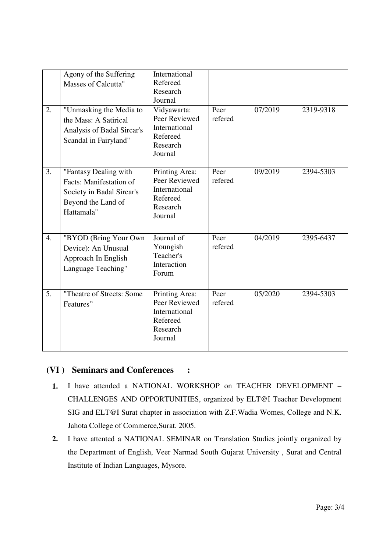| 2.               | Agony of the Suffering<br><b>Masses of Calcutta"</b><br>"Unmasking the Media to<br>the Mass: A Satirical<br>Analysis of Badal Sircar's<br>Scandal in Fairyland" | International<br>Refereed<br>Research<br>Journal<br>Vidyawarta:<br>Peer Reviewed<br>International<br>Refereed<br>Research<br>Journal | Peer<br>refered | 07/2019 | 2319-9318 |
|------------------|-----------------------------------------------------------------------------------------------------------------------------------------------------------------|--------------------------------------------------------------------------------------------------------------------------------------|-----------------|---------|-----------|
| 3.               | "Fantasy Dealing with<br>Facts: Manifestation of<br>Society in Badal Sircar's<br>Beyond the Land of<br>Hattamala"                                               | Printing Area:<br>Peer Reviewed<br>International<br>Refereed<br>Research<br>Journal                                                  | Peer<br>refered | 09/2019 | 2394-5303 |
| $\overline{4}$ . | "BYOD (Bring Your Own<br>Device): An Unusual<br>Approach In English<br>Language Teaching"                                                                       | Journal of<br>Youngish<br>Teacher's<br>Interaction<br>Forum                                                                          | Peer<br>refered | 04/2019 | 2395-6437 |
| 5 <sub>1</sub>   | "Theatre of Streets: Some<br>Features"                                                                                                                          | Printing Area:<br>Peer Reviewed<br>International<br>Refereed<br>Research<br>Journal                                                  | Peer<br>refered | 05/2020 | 2394-5303 |

### **(VI ) Seminars and Conferences :**

- **1.** I have attended a NATIONAL WORKSHOP on TEACHER DEVELOPMENT CHALLENGES AND OPPORTUNITIES, organized by ELT@I Teacher Development SIG and ELT@I Surat chapter in association with Z.F.Wadia Womes, College and N.K. Jahota College of Commerce,Surat. 2005.
- **2.** I have attented a NATIONAL SEMINAR on Translation Studies jointly organized by the Department of English, Veer Narmad South Gujarat University , Surat and Central Institute of Indian Languages, Mysore.